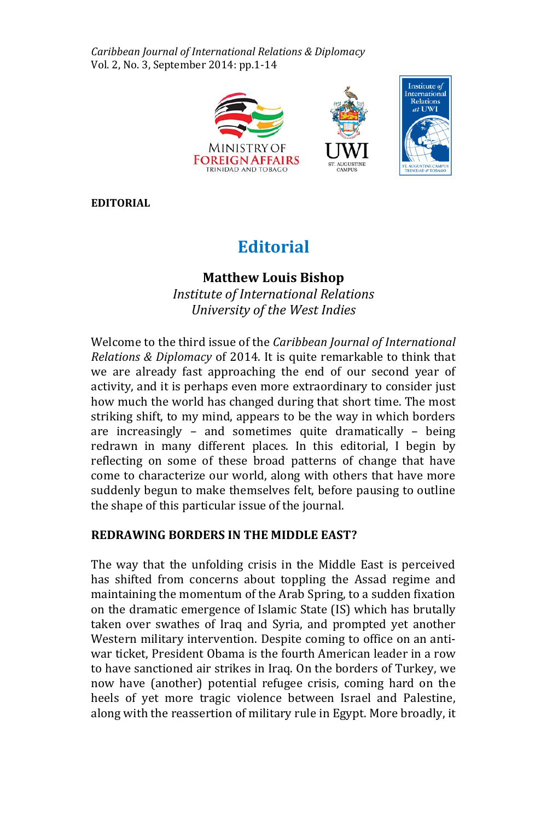*Caribbean Journal of International Relations & Diplomacy*  Vol. 2, No. 3, September 2014: pp.1-14



**EDITORIAL**

# **Editorial**

## **Matthew Louis Bishop**

*Institute of International Relations University of the West Indies*

Welcome to the third issue of the *Caribbean Journal of International Relations & Diplomacy* of 2014. It is quite remarkable to think that we are already fast approaching the end of our second year of activity, and it is perhaps even more extraordinary to consider just how much the world has changed during that short time. The most striking shift, to my mind, appears to be the way in which borders are increasingly – and sometimes quite dramatically – being redrawn in many different places. In this editorial, I begin by reflecting on some of these broad patterns of change that have come to characterize our world, along with others that have more suddenly begun to make themselves felt, before pausing to outline the shape of this particular issue of the journal.

## **REDRAWING BORDERS IN THE MIDDLE EAST?**

The way that the unfolding crisis in the Middle East is perceived has shifted from concerns about toppling the Assad regime and maintaining the momentum of the Arab Spring, to a sudden fixation on the dramatic emergence of Islamic State (IS) which has brutally taken over swathes of Iraq and Syria, and prompted yet another Western military intervention. Despite coming to office on an antiwar ticket, President Obama is the fourth American leader in a row to have sanctioned air strikes in Iraq. On the borders of Turkey, we now have (another) potential refugee crisis, coming hard on the heels of yet more tragic violence between Israel and Palestine, along with the reassertion of military rule in Egypt. More broadly, it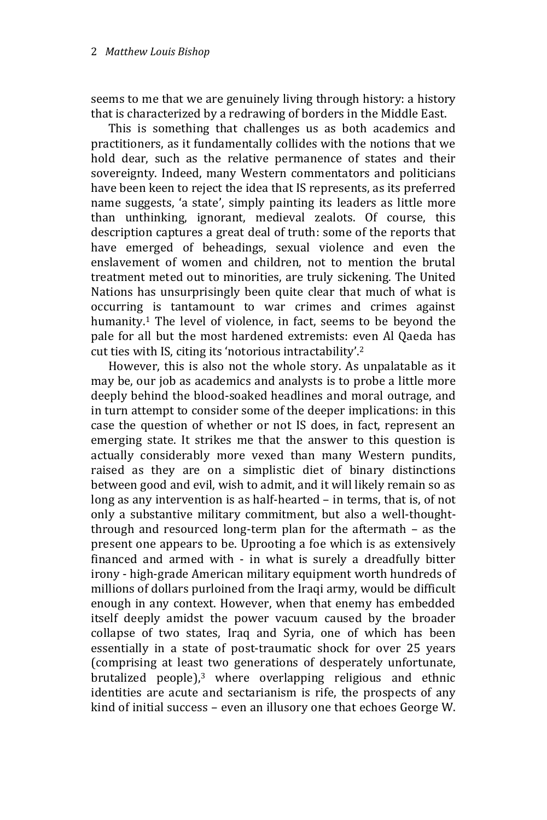seems to me that we are genuinely living through history: a history that is characterized by a redrawing of borders in the Middle East.

This is something that challenges us as both academics and practitioners, as it fundamentally collides with the notions that we hold dear, such as the relative permanence of states and their sovereignty. Indeed, many Western commentators and politicians have been keen to reject the idea that IS represents, as its preferred name suggests, 'a state', simply painting its leaders as little more than unthinking, ignorant, medieval zealots. Of course, this description captures a great deal of truth: some of the reports that have emerged of beheadings, sexual violence and even the enslavement of women and children, not to mention the brutal treatment meted out to minorities, are truly sickening. The United Nations has unsurprisingly been quite clear that much of what is occurring is tantamount to war crimes and crimes against humanity.<sup>1</sup> The level of violence, in fact, seems to be beyond the pale for all but the most hardened extremists: even Al Qaeda has cut ties with IS, citing its 'notorious intractability'.<sup>2</sup>

However, this is also not the whole story. As unpalatable as it may be, our job as academics and analysts is to probe a little more deeply behind the blood-soaked headlines and moral outrage, and in turn attempt to consider some of the deeper implications: in this case the question of whether or not IS does, in fact, represent an emerging state. It strikes me that the answer to this question is actually considerably more vexed than many Western pundits, raised as they are on a simplistic diet of binary distinctions between good and evil, wish to admit, and it will likely remain so as long as any intervention is as half-hearted – in terms, that is, of not only a substantive military commitment, but also a well-thoughtthrough and resourced long-term plan for the aftermath – as the present one appears to be. Uprooting a foe which is as extensively financed and armed with - in what is surely a dreadfully bitter irony - high-grade American military equipment worth hundreds of millions of dollars purloined from the Iraqi army, would be difficult enough in any context. However, when that enemy has embedded itself deeply amidst the power vacuum caused by the broader collapse of two states, Iraq and Syria, one of which has been essentially in a state of post-traumatic shock for over 25 years (comprising at least two generations of desperately unfortunate, brutalized people), <sup>3</sup> where overlapping religious and ethnic identities are acute and sectarianism is rife, the prospects of any kind of initial success – even an illusory one that echoes George W.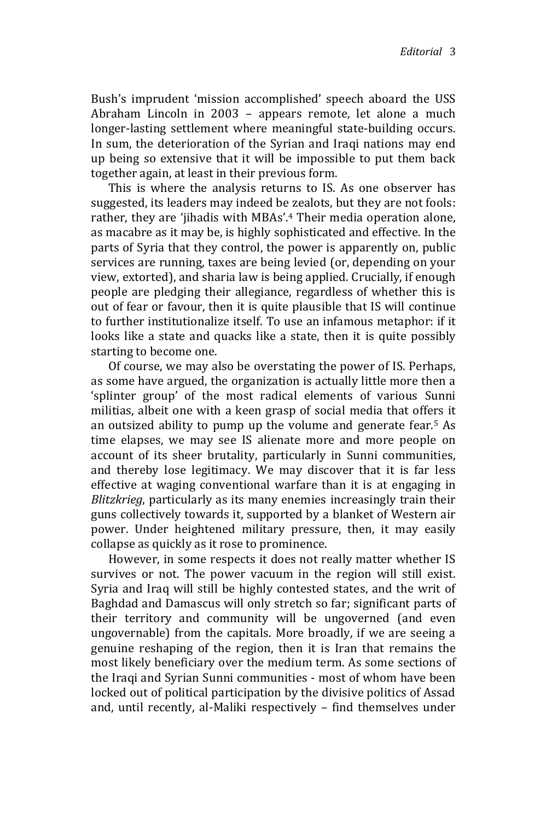Bush's imprudent 'mission accomplished' speech aboard the USS Abraham Lincoln in 2003 – appears remote, let alone a much longer-lasting settlement where meaningful state-building occurs. In sum, the deterioration of the Syrian and Iraqi nations may end up being so extensive that it will be impossible to put them back together again, at least in their previous form.

This is where the analysis returns to IS. As one observer has suggested, its leaders may indeed be zealots, but they are not fools: rather, they are 'jihadis with MBAs'.<sup>4</sup> Their media operation alone, as macabre as it may be, is highly sophisticated and effective. In the parts of Syria that they control, the power is apparently on, public services are running, taxes are being levied (or, depending on your view, extorted), and sharia law is being applied. Crucially, if enough people are pledging their allegiance, regardless of whether this is out of fear or favour, then it is quite plausible that IS will continue to further institutionalize itself. To use an infamous metaphor: if it looks like a state and quacks like a state, then it is quite possibly starting to become one.

Of course, we may also be overstating the power of IS. Perhaps, as some have argued, the organization is actually little more then a 'splinter group' of the most radical elements of various Sunni militias, albeit one with a keen grasp of social media that offers it an outsized ability to pump up the volume and generate fear.<sup>5</sup> As time elapses, we may see IS alienate more and more people on account of its sheer brutality, particularly in Sunni communities, and thereby lose legitimacy. We may discover that it is far less effective at waging conventional warfare than it is at engaging in *Blitzkrieg*, particularly as its many enemies increasingly train their guns collectively towards it, supported by a blanket of Western air power. Under heightened military pressure, then, it may easily collapse as quickly as it rose to prominence.

However, in some respects it does not really matter whether IS survives or not. The power vacuum in the region will still exist. Syria and Iraq will still be highly contested states, and the writ of Baghdad and Damascus will only stretch so far; significant parts of their territory and community will be ungoverned (and even ungovernable) from the capitals. More broadly, if we are seeing a genuine reshaping of the region, then it is Iran that remains the most likely beneficiary over the medium term. As some sections of the Iraqi and Syrian Sunni communities - most of whom have been locked out of political participation by the divisive politics of Assad and, until recently, al-Maliki respectively – find themselves under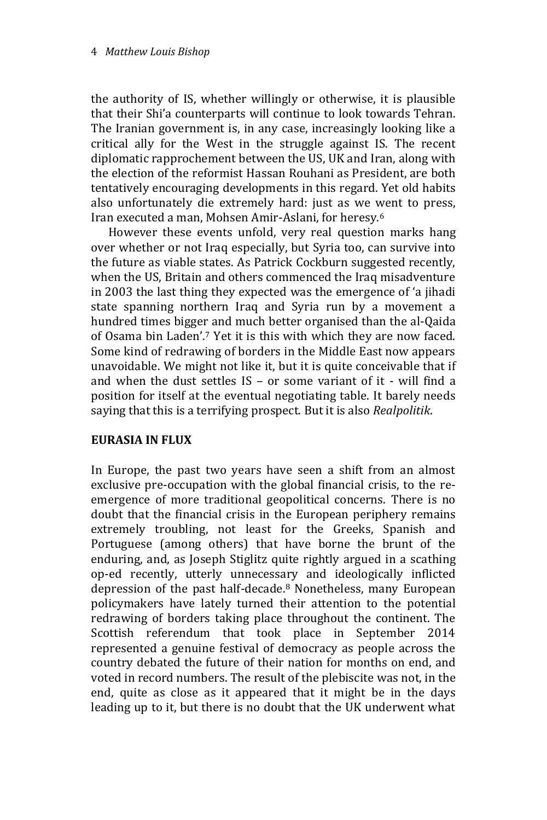the authority of IS, whether willingly or otherwise, it is plausible that their Shi'a counterparts will continue to look towards Tehran. The Iranian government is, in any case, increasingly looking like a critical ally for the West in the struggle against IS. The recent diplomatic rapprochement between the US, UK and Iran, along with the election of the reformist Hassan Rouhani as President, are both tentatively encouraging developments in this regard. Yet old habits also unfortunately die extremely hard: just as we went to press, Iran executed a man, Mohsen Amir-Aslani, for heresy.<sup>6</sup>

However these events unfold, very real question marks hang over whether or not Iraq especially, but Syria too, can survive into the future as viable states. As Patrick Cockburn suggested recently, when the US, Britain and others commenced the Iraq misadventure in 2003 the last thing they expected was the emergence of 'a jihadi state spanning northern Iraq and Syria run by a movement a hundred times bigger and much better organised than the al-Qaida of Osama bin Laden'.<sup>7</sup> Yet it is this with which they are now faced. Some kind of redrawing of borders in the Middle East now appears unavoidable. We might not like it, but it is quite conceivable that if and when the dust settles IS – or some variant of it - will find a position for itself at the eventual negotiating table. It barely needs saying that this is a terrifying prospect. But it is also *Realpolitik*.

## **EURASIA IN FLUX**

In Europe, the past two years have seen a shift from an almost exclusive pre-occupation with the global financial crisis, to the reemergence of more traditional geopolitical concerns. There is no doubt that the financial crisis in the European periphery remains extremely troubling, not least for the Greeks, Spanish and Portuguese (among others) that have borne the brunt of the enduring, and, as Joseph Stiglitz quite rightly argued in a scathing op-ed recently, utterly unnecessary and ideologically inflicted depression of the past half-decade. <sup>8</sup> Nonetheless, many European policymakers have lately turned their attention to the potential redrawing of borders taking place throughout the continent. The Scottish referendum that took place in September 2014 represented a genuine festival of democracy as people across the country debated the future of their nation for months on end, and voted in record numbers. The result of the plebiscite was not, in the end, quite as close as it appeared that it might be in the days leading up to it, but there is no doubt that the UK underwent what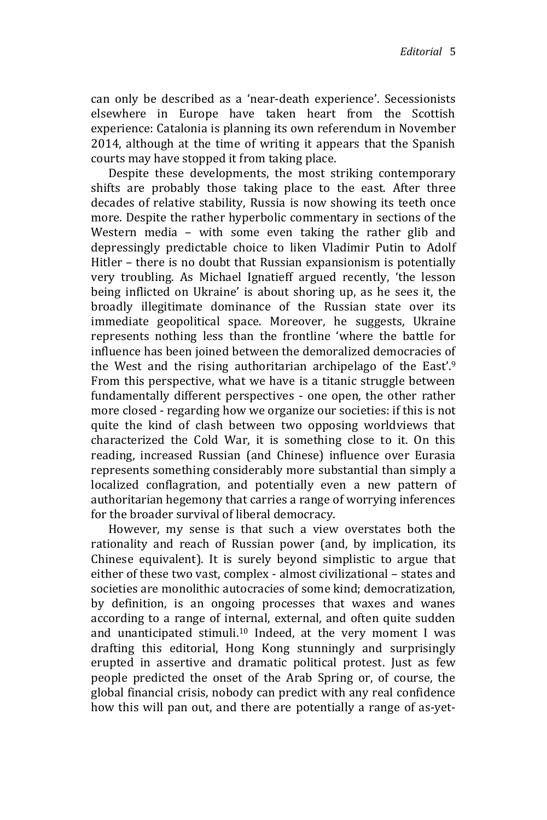can only be described as a 'near-death experience'. Secessionists elsewhere in Europe have taken heart from the Scottish experience: Catalonia is planning its own referendum in November 2014, although at the time of writing it appears that the Spanish courts may have stopped it from taking place.

Despite these developments, the most striking contemporary shifts are probably those taking place to the east. After three decades of relative stability, Russia is now showing its teeth once more. Despite the rather hyperbolic commentary in sections of the Western media – with some even taking the rather glib and depressingly predictable choice to liken Vladimir Putin to Adolf Hitler – there is no doubt that Russian expansionism is potentially very troubling. As Michael Ignatieff argued recently, 'the lesson being inflicted on Ukraine' is about shoring up, as he sees it, the broadly illegitimate dominance of the Russian state over its immediate geopolitical space. Moreover, he suggests, Ukraine represents nothing less than the frontline 'where the battle for influence has been joined between the demoralized democracies of the West and the rising authoritarian archipelago of the East'.<sup>9</sup> From this perspective, what we have is a titanic struggle between fundamentally different perspectives - one open, the other rather more closed - regarding how we organize our societies: if this is not quite the kind of clash between two opposing worldviews that characterized the Cold War, it is something close to it. On this reading, increased Russian (and Chinese) influence over Eurasia represents something considerably more substantial than simply a localized conflagration, and potentially even a new pattern of authoritarian hegemony that carries a range of worrying inferences for the broader survival of liberal democracy.

However, my sense is that such a view overstates both the rationality and reach of Russian power (and, by implication, its Chinese equivalent). It is surely beyond simplistic to argue that either of these two vast, complex - almost civilizational – states and societies are monolithic autocracies of some kind; democratization, by definition, is an ongoing processes that waxes and wanes according to a range of internal, external, and often quite sudden and unanticipated stimuli.<sup>10</sup> Indeed, at the very moment I was drafting this editorial, Hong Kong stunningly and surprisingly erupted in assertive and dramatic political protest. Just as few people predicted the onset of the Arab Spring or, of course, the global financial crisis, nobody can predict with any real confidence how this will pan out, and there are potentially a range of as-yet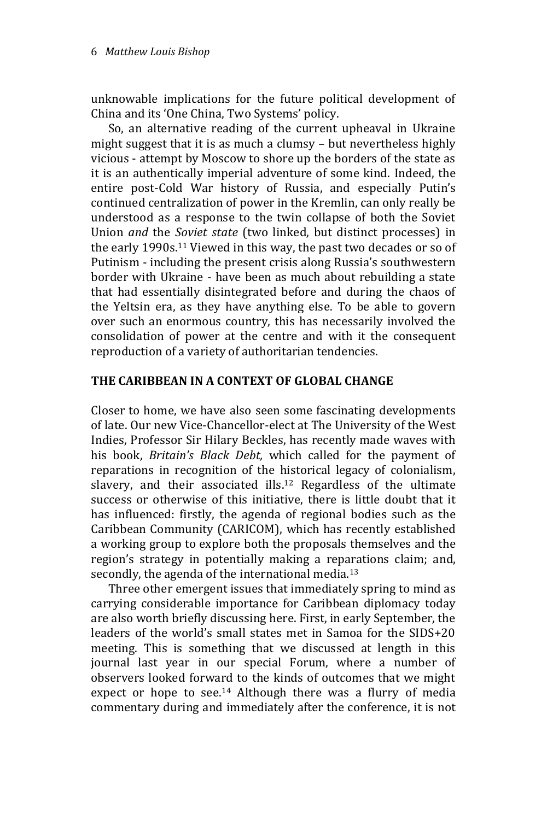unknowable implications for the future political development of China and its 'One China, Two Systems' policy.

So, an alternative reading of the current upheaval in Ukraine might suggest that it is as much a clumsy – but nevertheless highly vicious - attempt by Moscow to shore up the borders of the state as it is an authentically imperial adventure of some kind. Indeed, the entire post-Cold War history of Russia, and especially Putin's continued centralization of power in the Kremlin, can only really be understood as a response to the twin collapse of both the Soviet Union *and* the *Soviet state* (two linked, but distinct processes) in the early 1990s. <sup>11</sup> Viewed in this way, the past two decades or so of Putinism - including the present crisis along Russia's southwestern border with Ukraine - have been as much about rebuilding a state that had essentially disintegrated before and during the chaos of the Yeltsin era, as they have anything else. To be able to govern over such an enormous country, this has necessarily involved the consolidation of power at the centre and with it the consequent reproduction of a variety of authoritarian tendencies.

## **THE CARIBBEAN IN A CONTEXT OF GLOBAL CHANGE**

Closer to home, we have also seen some fascinating developments of late. Our new Vice-Chancellor-elect at The University of the West Indies, Professor Sir Hilary Beckles, has recently made waves with his book, *Britain's Black Debt,* which called for the payment of reparations in recognition of the historical legacy of colonialism, slavery, and their associated ills. <sup>12</sup> Regardless of the ultimate success or otherwise of this initiative, there is little doubt that it has influenced: firstly, the agenda of regional bodies such as the Caribbean Community (CARICOM), which has recently established a working group to explore both the proposals themselves and the region's strategy in potentially making a reparations claim; and, secondly, the agenda of the international media.<sup>13</sup>

Three other emergent issues that immediately spring to mind as carrying considerable importance for Caribbean diplomacy today are also worth briefly discussing here. First, in early September, the leaders of the world's small states met in Samoa for the SIDS+20 meeting. This is something that we discussed at length in this journal last year in our special Forum, where a number of observers looked forward to the kinds of outcomes that we might expect or hope to see.<sup>14</sup> Although there was a flurry of media commentary during and immediately after the conference, it is not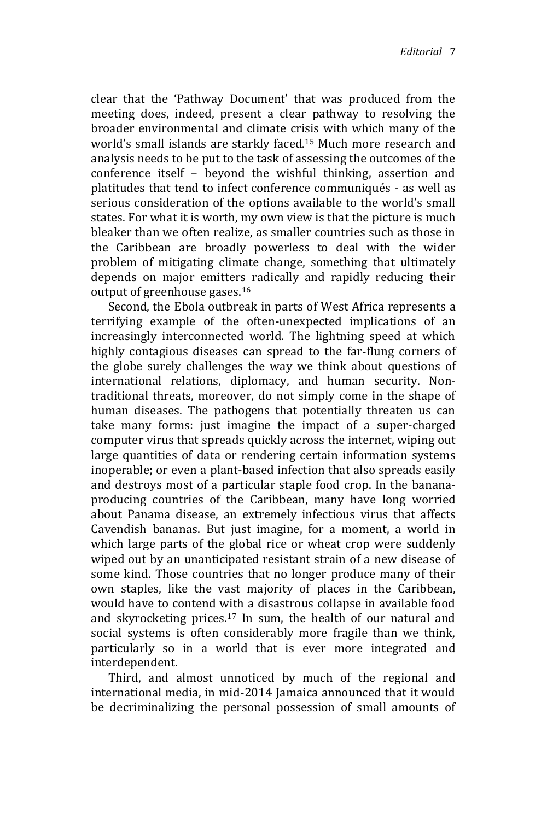clear that the 'Pathway Document' that was produced from the meeting does, indeed, present a clear pathway to resolving the broader environmental and climate crisis with which many of the world's small islands are starkly faced.<sup>15</sup> Much more research and analysis needs to be put to the task of assessing the outcomes of the conference itself – beyond the wishful thinking, assertion and platitudes that tend to infect conference communiqués - as well as serious consideration of the options available to the world's small states. For what it is worth, my own view is that the picture is much bleaker than we often realize, as smaller countries such as those in the Caribbean are broadly powerless to deal with the wider problem of mitigating climate change, something that ultimately depends on major emitters radically and rapidly reducing their output of greenhouse gases.<sup>16</sup>

Second, the Ebola outbreak in parts of West Africa represents a terrifying example of the often-unexpected implications of an increasingly interconnected world. The lightning speed at which highly contagious diseases can spread to the far-flung corners of the globe surely challenges the way we think about questions of international relations, diplomacy, and human security. Nontraditional threats, moreover, do not simply come in the shape of human diseases. The pathogens that potentially threaten us can take many forms: just imagine the impact of a super-charged computer virus that spreads quickly across the internet, wiping out large quantities of data or rendering certain information systems inoperable; or even a plant-based infection that also spreads easily and destroys most of a particular staple food crop. In the bananaproducing countries of the Caribbean, many have long worried about Panama disease, an extremely infectious virus that affects Cavendish bananas. But just imagine, for a moment, a world in which large parts of the global rice or wheat crop were suddenly wiped out by an unanticipated resistant strain of a new disease of some kind. Those countries that no longer produce many of their own staples, like the vast majority of places in the Caribbean, would have to contend with a disastrous collapse in available food and skyrocketing prices.<sup>17</sup> In sum, the health of our natural and social systems is often considerably more fragile than we think, particularly so in a world that is ever more integrated and interdependent.

Third, and almost unnoticed by much of the regional and international media, in mid-2014 Jamaica announced that it would be decriminalizing the personal possession of small amounts of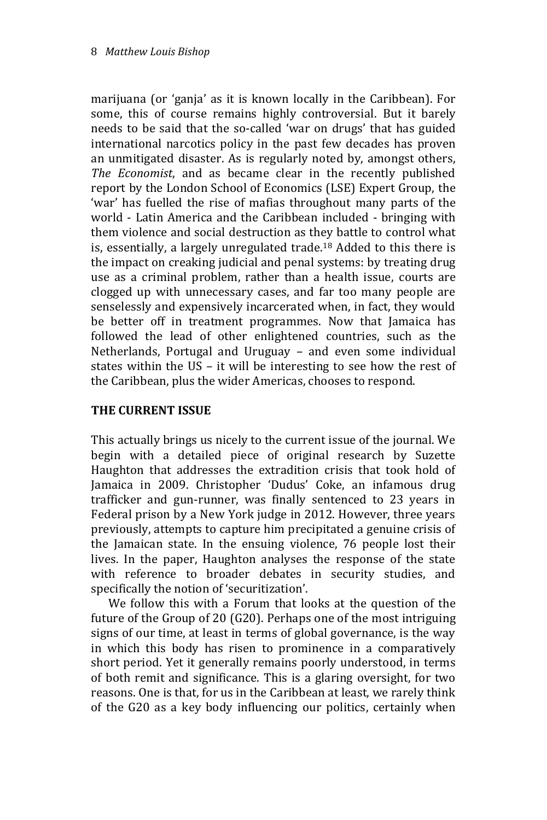marijuana (or 'ganja' as it is known locally in the Caribbean). For some, this of course remains highly controversial. But it barely needs to be said that the so-called 'war on drugs' that has guided international narcotics policy in the past few decades has proven an unmitigated disaster. As is regularly noted by, amongst others, *The Economist*, and as became clear in the recently published report by the London School of Economics (LSE) Expert Group, the 'war' has fuelled the rise of mafias throughout many parts of the world - Latin America and the Caribbean included - bringing with them violence and social destruction as they battle to control what is, essentially, a largely unregulated trade.<sup>18</sup> Added to this there is the impact on creaking judicial and penal systems: by treating drug use as a criminal problem, rather than a health issue, courts are clogged up with unnecessary cases, and far too many people are senselessly and expensively incarcerated when, in fact, they would be better off in treatment programmes. Now that Jamaica has followed the lead of other enlightened countries, such as the Netherlands, Portugal and Uruguay – and even some individual states within the US – it will be interesting to see how the rest of the Caribbean, plus the wider Americas, chooses to respond.

## **THE CURRENT ISSUE**

This actually brings us nicely to the current issue of the journal. We begin with a detailed piece of original research by Suzette Haughton that addresses the extradition crisis that took hold of Jamaica in 2009. Christopher 'Dudus' Coke, an infamous drug trafficker and gun-runner, was finally sentenced to 23 years in Federal prison by a New York judge in 2012. However, three years previously, attempts to capture him precipitated a genuine crisis of the Jamaican state. In the ensuing violence, 76 people lost their lives. In the paper, Haughton analyses the response of the state with reference to broader debates in security studies, and specifically the notion of 'securitization'.

We follow this with a Forum that looks at the question of the future of the Group of 20 (G20). Perhaps one of the most intriguing signs of our time, at least in terms of global governance, is the way in which this body has risen to prominence in a comparatively short period. Yet it generally remains poorly understood, in terms of both remit and significance. This is a glaring oversight, for two reasons. One is that, for us in the Caribbean at least, we rarely think of the G20 as a key body influencing our politics, certainly when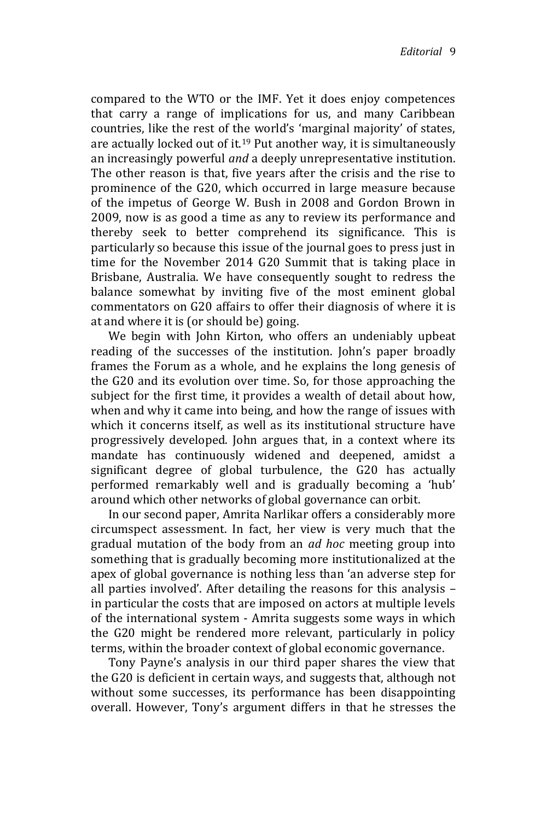compared to the WTO or the IMF. Yet it does enjoy competences that carry a range of implications for us, and many Caribbean countries, like the rest of the world's 'marginal majority' of states, are actually locked out of it.<sup>19</sup> Put another way, it is simultaneously an increasingly powerful *and* a deeply unrepresentative institution. The other reason is that, five years after the crisis and the rise to prominence of the G20, which occurred in large measure because of the impetus of George W. Bush in 2008 and Gordon Brown in 2009, now is as good a time as any to review its performance and thereby seek to better comprehend its significance. This is particularly so because this issue of the journal goes to press just in time for the November 2014 G20 Summit that is taking place in Brisbane, Australia. We have consequently sought to redress the balance somewhat by inviting five of the most eminent global commentators on G20 affairs to offer their diagnosis of where it is at and where it is (or should be) going.

We begin with John Kirton, who offers an undeniably upbeat reading of the successes of the institution. John's paper broadly frames the Forum as a whole, and he explains the long genesis of the G20 and its evolution over time. So, for those approaching the subject for the first time, it provides a wealth of detail about how, when and why it came into being, and how the range of issues with which it concerns itself, as well as its institutional structure have progressively developed. John argues that, in a context where its mandate has continuously widened and deepened, amidst a significant degree of global turbulence, the G20 has actually performed remarkably well and is gradually becoming a 'hub' around which other networks of global governance can orbit.

In our second paper, Amrita Narlikar offers a considerably more circumspect assessment. In fact, her view is very much that the gradual mutation of the body from an *ad hoc* meeting group into something that is gradually becoming more institutionalized at the apex of global governance is nothing less than 'an adverse step for all parties involved'. After detailing the reasons for this analysis – in particular the costs that are imposed on actors at multiple levels of the international system - Amrita suggests some ways in which the G20 might be rendered more relevant, particularly in policy terms, within the broader context of global economic governance.

Tony Payne's analysis in our third paper shares the view that the G20 is deficient in certain ways, and suggests that, although not without some successes, its performance has been disappointing overall. However, Tony's argument differs in that he stresses the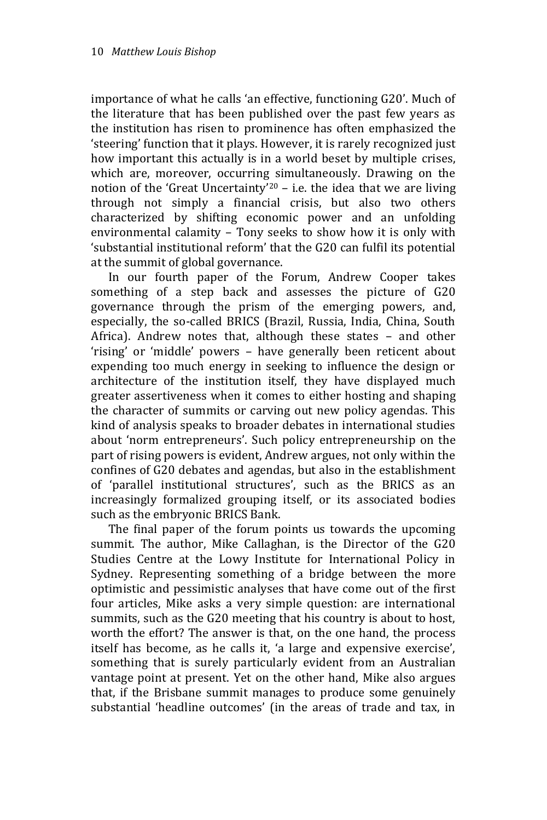importance of what he calls 'an effective, functioning G20'. Much of the literature that has been published over the past few years as the institution has risen to prominence has often emphasized the 'steering' function that it plays. However, it is rarely recognized just how important this actually is in a world beset by multiple crises, which are, moreover, occurring simultaneously. Drawing on the notion of the 'Great Uncertainty'<sup>20</sup> – i.e. the idea that we are living through not simply a financial crisis, but also two others characterized by shifting economic power and an unfolding environmental calamity – Tony seeks to show how it is only with 'substantial institutional reform' that the G20 can fulfil its potential at the summit of global governance.

In our fourth paper of the Forum, Andrew Cooper takes something of a step back and assesses the picture of G20 governance through the prism of the emerging powers, and, especially, the so-called BRICS (Brazil, Russia, India, China, South Africa). Andrew notes that, although these states – and other 'rising' or 'middle' powers – have generally been reticent about expending too much energy in seeking to influence the design or architecture of the institution itself, they have displayed much greater assertiveness when it comes to either hosting and shaping the character of summits or carving out new policy agendas. This kind of analysis speaks to broader debates in international studies about 'norm entrepreneurs'. Such policy entrepreneurship on the part of rising powers is evident, Andrew argues, not only within the confines of G20 debates and agendas, but also in the establishment of 'parallel institutional structures', such as the BRICS as an increasingly formalized grouping itself, or its associated bodies such as the embryonic BRICS Bank.

The final paper of the forum points us towards the upcoming summit. The author, Mike Callaghan, is the Director of the G20 Studies Centre at the Lowy Institute for International Policy in Sydney. Representing something of a bridge between the more optimistic and pessimistic analyses that have come out of the first four articles, Mike asks a very simple question: are international summits, such as the G20 meeting that his country is about to host, worth the effort? The answer is that, on the one hand, the process itself has become, as he calls it, 'a large and expensive exercise', something that is surely particularly evident from an Australian vantage point at present. Yet on the other hand, Mike also argues that, if the Brisbane summit manages to produce some genuinely substantial 'headline outcomes' (in the areas of trade and tax, in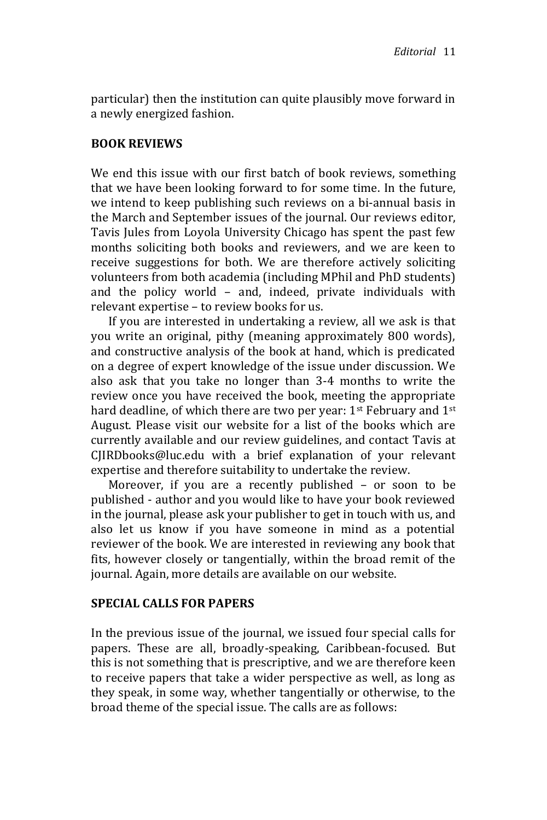particular) then the institution can quite plausibly move forward in a newly energized fashion.

#### **BOOK REVIEWS**

We end this issue with our first batch of book reviews, something that we have been looking forward to for some time. In the future, we intend to keep publishing such reviews on a bi-annual basis in the March and September issues of the journal. Our reviews editor, Tavis Jules from Loyola University Chicago has spent the past few months soliciting both books and reviewers, and we are keen to receive suggestions for both. We are therefore actively soliciting volunteers from both academia (including MPhil and PhD students) and the policy world – and, indeed, private individuals with relevant expertise – to review books for us.

If you are interested in undertaking a review, all we ask is that you write an original, pithy (meaning approximately 800 words), and constructive analysis of the book at hand, which is predicated on a degree of expert knowledge of the issue under discussion. We also ask that you take no longer than 3-4 months to write the review once you have received the book, meeting the appropriate hard deadline, of which there are two per year:  $1<sup>st</sup>$  February and  $1<sup>st</sup>$ August. Please visit our website for a list of the books which are currently available and our review guidelines, and contact Tavis at CJIRDbooks@luc.edu with a brief explanation of your relevant expertise and therefore suitability to undertake the review.

Moreover, if you are a recently published – or soon to be published - author and you would like to have your book reviewed in the journal, please ask your publisher to get in touch with us, and also let us know if you have someone in mind as a potential reviewer of the book. We are interested in reviewing any book that fits, however closely or tangentially, within the broad remit of the journal. Again, more details are available on our website.

#### **SPECIAL CALLS FOR PAPERS**

In the previous issue of the journal, we issued four special calls for papers. These are all, broadly-speaking, Caribbean-focused. But this is not something that is prescriptive, and we are therefore keen to receive papers that take a wider perspective as well, as long as they speak, in some way, whether tangentially or otherwise, to the broad theme of the special issue. The calls are as follows: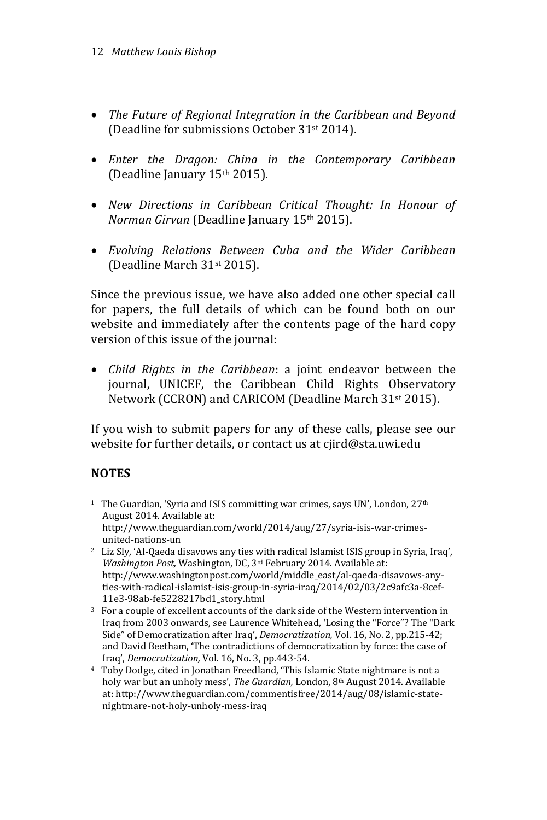- *The Future of Regional Integration in the Caribbean and Beyond* (Deadline for submissions October 31st 2014).
- *Enter the Dragon: China in the Contemporary Caribbean* (Deadline January 15th 2015).
- *New Directions in Caribbean Critical Thought: In Honour of Norman Girvan* (Deadline January 15th 2015).
- *Evolving Relations Between Cuba and the Wider Caribbean* (Deadline March 31st 2015).

Since the previous issue, we have also added one other special call for papers, the full details of which can be found both on our website and immediately after the contents page of the hard copy version of this issue of the journal:

 *Child Rights in the Caribbean*: a joint endeavor between the journal, UNICEF, the Caribbean Child Rights Observatory Network (CCRON) and CARICOM (Deadline March 31st 2015).

If you wish to submit papers for any of these calls, please see our website for further details, or contact us at cjird@sta.uwi.edu

## **NOTES**

- <sup>1</sup> The Guardian, 'Syria and ISIS committing war crimes, says UN', London, 27<sup>th</sup> August 2014. Available at: http://www.theguardian.com/world/2014/aug/27/syria-isis-war-crimesunited-nations-un
- <sup>2</sup> Liz Sly, 'Al-Qaeda disavows any ties with radical Islamist ISIS group in Syria, Iraq', *Washington Post,* Washington, DC, 3rd February 2014. Available at: http://www.washingtonpost.com/world/middle\_east/al-qaeda-disavows-anyties-with-radical-islamist-isis-group-in-syria-iraq/2014/02/03/2c9afc3a-8cef-11e3-98ab-fe5228217bd1\_story.html
- <sup>3</sup> For a couple of excellent accounts of the dark side of the Western intervention in Iraq from 2003 onwards, see Laurence Whitehead, 'Losing the "Force"? The "Dark Side" of Democratization after Iraq', *Democratization,* Vol. 16, No. 2, pp.215-42; and David Beetham, 'The contradictions of democratization by force: the case of Iraq', *Democratization,* Vol. 16, No. 3, pp.443-54.
- <sup>4</sup> Toby Dodge, cited in Jonathan Freedland, 'This Islamic State nightmare is not a holy war but an unholy mess', *The Guardian,* London, 8th August 2014. Available at: http://www.theguardian.com/commentisfree/2014/aug/08/islamic-statenightmare-not-holy-unholy-mess-iraq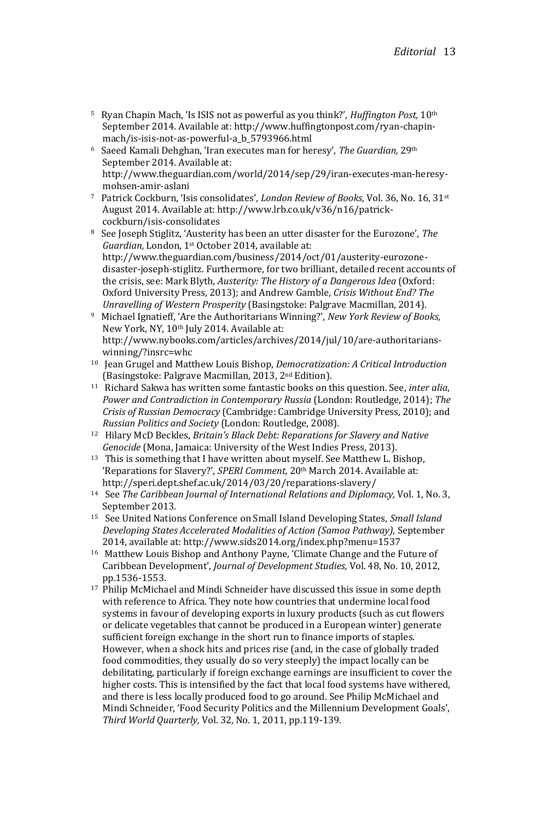- <sup>5</sup> Ryan Chapin Mach, 'Is ISIS not as powerful as you think?', *Huffington Post,* 10th September 2014. Available at: http://www.huffingtonpost.com/ryan-chapinmach/is-isis-not-as-powerful-a\_b\_5793966.html
- <sup>6</sup> Saeed Kamali Dehghan, 'Iran executes man for heresy', *The Guardian,* 29th September 2014. Available at: http://www.theguardian.com/world/2014/sep/29/iran-executes-man-heresymohsen-amir-aslani
- <sup>7</sup> Patrick Cockburn, 'Isis consolidates', *London Review of Books,* Vol. 36, No. 16, 31st August 2014. Available at: http://www.lrb.co.uk/v36/n16/patrickcockburn/isis-consolidates
- <sup>8</sup> See Joseph Stiglitz, 'Austerity has been an utter disaster for the Eurozone', *The Guardian,* London, 1st October 2014, available at: http://www.theguardian.com/business/2014/oct/01/austerity-eurozonedisaster-joseph-stiglitz. Furthermore, for two brilliant, detailed recent accounts of the crisis, see: Mark Blyth, *Austerity: The History of a Dangerous Idea* (Oxford: Oxford University Press, 2013); and Andrew Gamble, *Crisis Without End? The Unravelling of Western Prosperity* (Basingstoke: Palgrave Macmillan, 2014).
- <sup>9</sup> Michael Ignatieff, 'Are the Authoritarians Winning?', *New York Review of Books,*  New York, NY, 10th July 2014. Available at: http://www.nybooks.com/articles/archives/2014/jul/10/are-authoritarianswinning/?insrc=whc
- <sup>10</sup> Jean Grugel and Matthew Louis Bishop, *Democratization: A Critical Introduction*  (Basingstoke: Palgrave Macmillan, 2013, 2nd Edition).
- <sup>11</sup> Richard Sakwa has written some fantastic books on this question. See, *inter alia*, *Power and Contradiction in Contemporary Russia* (London: Routledge, 2014); *The Crisis of Russian Democracy* (Cambridge: Cambridge University Press, 2010); and *Russian Politics and Society* (London: Routledge, 2008).
- <sup>12</sup> Hilary McD Beckles, *Britain's Black Debt: Reparations for Slavery and Native Genocide* (Mona, Jamaica: University of the West Indies Press, 2013).
- <sup>13</sup> This is something that I have written about myself. See Matthew L. Bishop, 'Reparations for Slavery?', *SPERI Comment,* 20th March 2014. Available at: http://speri.dept.shef.ac.uk/2014/03/20/reparations-slavery/
- <sup>14</sup> See *The Caribbean Journal of International Relations and Diplomacy,* Vol. 1, No. 3, September 2013.
- <sup>15</sup> See United Nations Conference on Small Island Developing States, *Small Island Developing States Accelerated Modalities of Action (Samoa Pathway),* September 2014, available at: http://www.sids2014.org/index.php?menu=1537
- <sup>16</sup> Matthew Louis Bishop and Anthony Payne, 'Climate Change and the Future of Caribbean Development', *Journal of Development Studies,* Vol. 48, No. 10, 2012, pp.1536-1553.
- <sup>17</sup> Philip McMichael and Mindi Schneider have discussed this issue in some depth with reference to Africa. They note how countries that undermine local food systems in favour of developing exports in luxury products (such as cut flowers or delicate vegetables that cannot be produced in a European winter) generate sufficient foreign exchange in the short run to finance imports of staples. However, when a shock hits and prices rise (and, in the case of globally traded food commodities, they usually do so very steeply) the impact locally can be debilitating, particularly if foreign exchange earnings are insufficient to cover the higher costs. This is intensified by the fact that local food systems have withered, and there is less locally produced food to go around. See Philip McMichael and Mindi Schneider, 'Food Security Politics and the Millennium Development Goals', *Third World Quarterly,* Vol. 32, No. 1, 2011, pp.119-139.